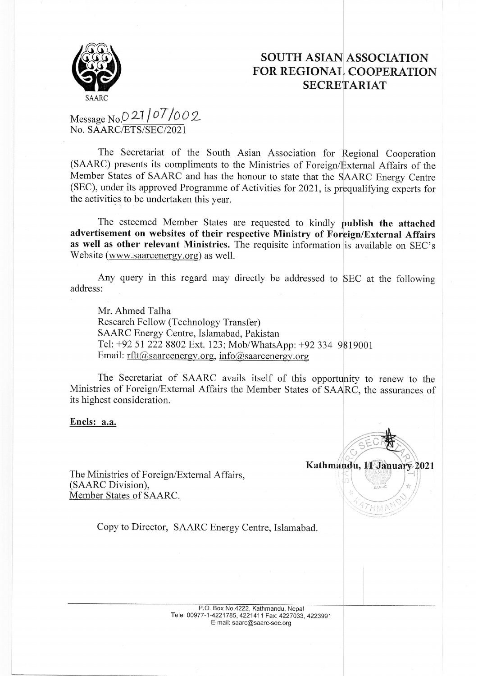

### SOUTH ASIAN ASSOCIATION FOR REGIONAL COOPERATION **SECRETARIAT**

# Message No.0 21 | 07 / 00 2 No. SAARC/ETS/SEC/2021

The Secretariat of the South Asian Association for Regional Cooperation (SAARC) presents its compliments to the Ministries of Foreign/External Affairs of the Member States of SAARC and has the honour to state that the SAARC Energy Centre  $(SEC)$ , under its approved Programme of Activities for 2021, is prequalifying experts for the activities to be undertaken this year.

The esteemed Member States are requested to kindly publish the attached advertisement on websites of their respective Ministry of Foreign/External Affairs as well as other relevant Ministries. The requisite information is available on SEC's Website (www.saarcenergy.org) as well.

Any query in this regard may directly be addressed to SEC at the following address:

Mr, Ahmed Talha Research Fellow (Technology Transfer) SAARC Energy Centre, Islamabad, Pakistan Tel: +92 51 222 8802 Ext. 123; Mob/WhatsApp: +92 334 9819001 Email:  $rftt@saarenergy.org$ , info@saarcenergy.org

The Secretariat of SAARC avails itself of this opportunity to renew to the Ministries of Foreign/External Affairs the Member States of SAARC, the assurances of its highest consideration.

Encls: a.a.

Kathma  $256$ 

HM.

The Ministries of Foreign/External Affairs, (SAARC Division), Member States of SAARC.

Copy to Director, SAARC Energy Centre, Islamabad.